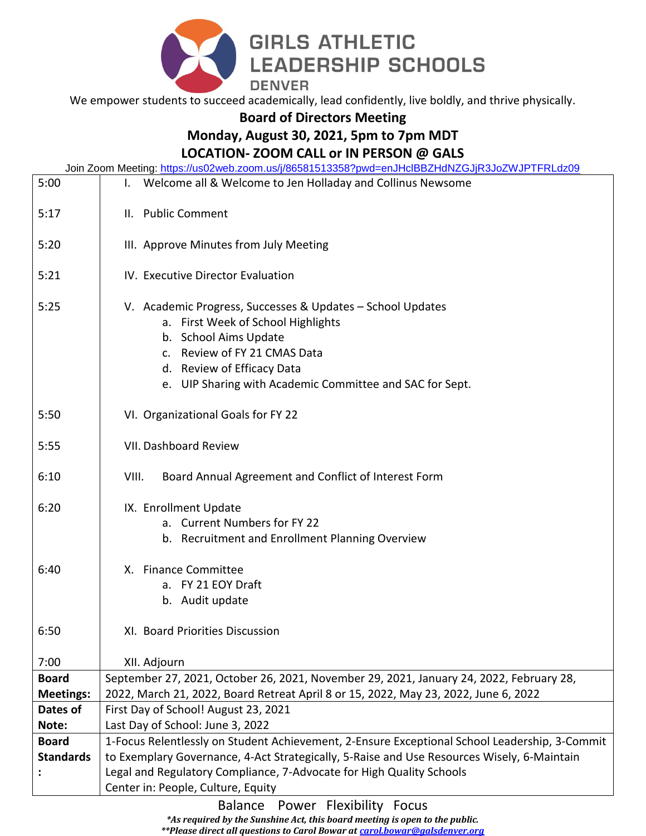

We empower students to succeed academically, lead confidently, live boldly, and thrive physically.

**Board of Directors Meeting** 

## **Monday, August 30, 2021, 5pm to 7pm MDT**

## **LOCATION- ZOOM CALL or IN PERSON @ GALS**

Join Zoom Meeting:<https://us02web.zoom.us/j/86581513358?pwd=enJHclBBZHdNZGJjR3JoZWJPTFRLdz09>

| 5:00             | <u>0011 20011 MCCuriy, https://doczmcb.zoom.do//00001010000 ; pMd-CH0110DDZFTdFNZO0JK000ZYY01 TTTK2dZ00</u><br>I. Welcome all & Welcome to Jen Holladay and Collinus Newsome |
|------------------|------------------------------------------------------------------------------------------------------------------------------------------------------------------------------|
| 5:17             | II. Public Comment                                                                                                                                                           |
|                  |                                                                                                                                                                              |
| 5:20             | III. Approve Minutes from July Meeting                                                                                                                                       |
|                  |                                                                                                                                                                              |
| 5:21             | IV. Executive Director Evaluation                                                                                                                                            |
| 5:25             | V. Academic Progress, Successes & Updates - School Updates<br>a. First Week of School Highlights<br>b. School Aims Update<br>c. Review of FY 21 CMAS Data                    |
|                  | d. Review of Efficacy Data                                                                                                                                                   |
|                  | e. UIP Sharing with Academic Committee and SAC for Sept.                                                                                                                     |
| 5:50             | VI. Organizational Goals for FY 22                                                                                                                                           |
| 5:55             | VII. Dashboard Review                                                                                                                                                        |
| 6:10             | Board Annual Agreement and Conflict of Interest Form<br>VIII.                                                                                                                |
| 6:20             | IX. Enrollment Update<br>a. Current Numbers for FY 22<br>b. Recruitment and Enrollment Planning Overview                                                                     |
| 6:40             | X. Finance Committee<br>a. FY 21 EOY Draft<br>b. Audit update                                                                                                                |
| 6:50             | XI. Board Priorities Discussion                                                                                                                                              |
| 7:00             | XII. Adjourn                                                                                                                                                                 |
| <b>Board</b>     | September 27, 2021, October 26, 2021, November 29, 2021, January 24, 2022, February 28,                                                                                      |
| <b>Meetings:</b> | 2022, March 21, 2022, Board Retreat April 8 or 15, 2022, May 23, 2022, June 6, 2022                                                                                          |
| Dates of         | First Day of School! August 23, 2021                                                                                                                                         |
| Note:            | Last Day of School: June 3, 2022                                                                                                                                             |
| <b>Board</b>     | 1-Focus Relentlessly on Student Achievement, 2-Ensure Exceptional School Leadership, 3-Commit                                                                                |
| <b>Standards</b> | to Exemplary Governance, 4-Act Strategically, 5-Raise and Use Resources Wisely, 6-Maintain                                                                                   |
|                  | Legal and Regulatory Compliance, 7-Advocate for High Quality Schools                                                                                                         |
|                  | Center in: People, Culture, Equity                                                                                                                                           |

Balance Power Flexibility Focus

*\*As required by the Sunshine Act, this board meeting is open to the public.* 

*\*\*Please direct all questions to Carol Bowar at [carol.bowar@galsdenver.org](mailto:carol.bowar@galsdenver.org)*